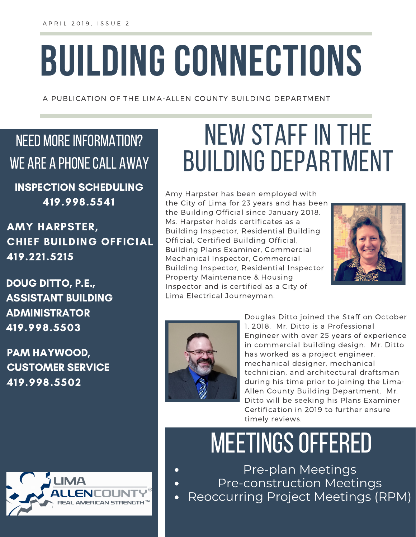# **BUILDING CONNECTIONS**

A PUBLICATION OF THE LIMA-ALLEN COUNTY BUILDING DEPARTMENT

### NEED MORE INFORMATION? WE ARE A PHONE CALL AWAY

INSPECTION SCHEDULING 419.998.5541

AMY HARPSTER, CHIEF BUILDING OFFICIAL 419.221.5215

DOUG DITTO, P.E., ASSISTANT BUILDING ADMINISTRATOR 419.998.5503

PAM HAYWOOD, CUSTOMER SERVICE 419.998.5502



## NEW STAFF IN THE **BUILDING DEPARTMENT**

Amy Harpster has been employed with the City of Lima for 23 years and has been the Building Official since January 2018. Ms. Harpster holds certificates as a Building Inspector, Residential Building Official, Certified Building Official, Building Plans Examiner, Commercial Mechanical Inspector, Commercial Building Inspector, Residential Inspector Property Maintenance & Housing Inspector and is certified as a City of Lima Electrical Journeyman.





Douglas Ditto joined the Staff on October 1, 2018. Mr. Ditto is a Professional Engineer with over 25 years of experience in commercial building design. Mr. Ditto has worked as a project engineer, mechanical designer, mechanical technician, and architectural draftsman during his time prior to joining the Lima-Allen County Building Department. Mr. Ditto will be seeking his Plans Examiner Certification in 2019 to further ensure timely reviews.

### MEETINGS OFFERED

Pre-plan Meetings Pre-construction Meetings Reoccurring Project Meetings (RPM)